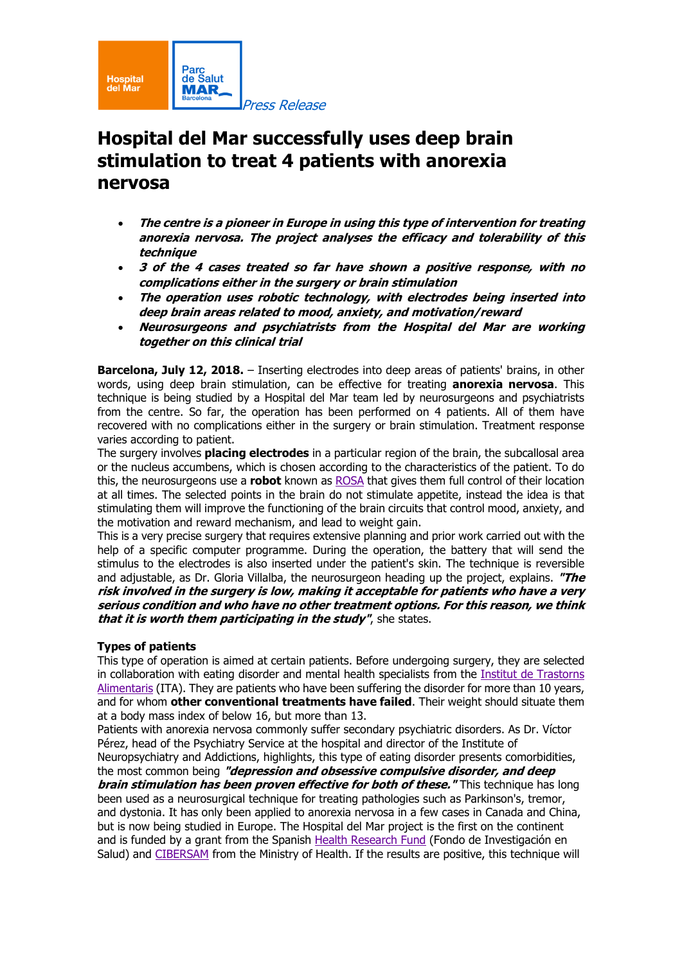

# **Hospital del Mar successfully uses deep brain stimulation to treat 4 patients with anorexia nervosa**

- **The centre is <sup>a</sup> pioneer in Europe in using this type of intervention for treating anorexia nervosa. The project analyses the efficacy and tolerability of this technique**
- **3 of the 4 cases treated so far have shown <sup>a</sup> positive response, with no complications either in the surgery or brain stimulation**
- **The operation uses robotic technology, with electrodes being inserted into deep brain areas related to mood, anxiety, and motivation/reward**
- **Neurosurgeons and psychiatrists from the Hospital del Mar are working together on this clinical trial**

**Barcelona, July 12, 2018.** – Inserting electrodes into deep areas of patients' brains, in other words, using deep brain stimulation, can be effective for treating **anorexia nervosa**. This technique is being studied by a Hospital del Mar team led by neurosurgeons and psychiatrists from the centre. So far, the operation has been performed on 4 patients. All of them have recovered with no complications either in the surgery or brain stimulation. Treatment response varies according to patient.

The surgery involves **placing electrodes** in a particular region of the brain, the subcallosal area or the nucleus accumbens, which is chosen according to the characteristics of the patient. To do this, the neurosurgeons use a **robot** known as [ROSA](http://bit.ly/2INNM8L) that gives them full control of their location at all times. The selected points in the brain do not stimulate appetite, instead the idea is that stimulating them will improve the functioning of the brain circuits that control mood, anxiety, and the motivation and reward mechanism, and lead to weight gain.

This is a very precise surgery that requires extensive planning and prior work carried out with the help of a specific computer programme. During the operation, the battery that will send the stimulus to the electrodes is also inserted under the patient's skin. The technique is reversible and adjustable, as Dr. Gloria Villalba, the neurosurgeon heading up the project, explains. **"The risk involved in the surgery is low, making it acceptable for patients who have <sup>a</sup> very serious condition and who have no other treatment options. For this reason, we think that it is worth them participating in the study"**, she states.

## **Types of patients**

This type of operation is aimed at certain patients. Before undergoing surgery, they are selected in collaboration with eating disorder and mental health specialists from the Institut de [Trastorns](http://bit.ly/2IIZQfN) [Alimentaris](http://bit.ly/2IIZQfN) (ITA). They are patients who have been suffering the disorder for more than 10 years, and for whom **other conventional treatments have failed**. Their weight should situate them at a body mass index of below 16, but more than 13.

Patients with anorexia nervosa commonly suffer secondary psychiatric disorders. As Dr. Víctor Pérez, head of the Psychiatry Service at the hospital and director of the Institute of Neuropsychiatry and Addictions, highlights, this type of eating disorder presents comorbidities, the most common being **"depression and obsessive compulsive disorder, and deep brain stimulation has been proven effective for both of these."** This technique has long been used as a neurosurgical technique for treating pathologies such as Parkinson's, tremor, and dystonia. It has only been applied to anorexia nervosa in a few cases in Canada and China, but is now being studied in Europe. The Hospital del Mar project is the first on the continent

and is funded by a grant from the Spanish Health [Research](http://bit.ly/2IIxLRx) Fund (Fondo de Investigación en Salud) and [CIBERSAM](http://bit.ly/2sttgmT) from the Ministry of Health. If the results are positive, this technique will